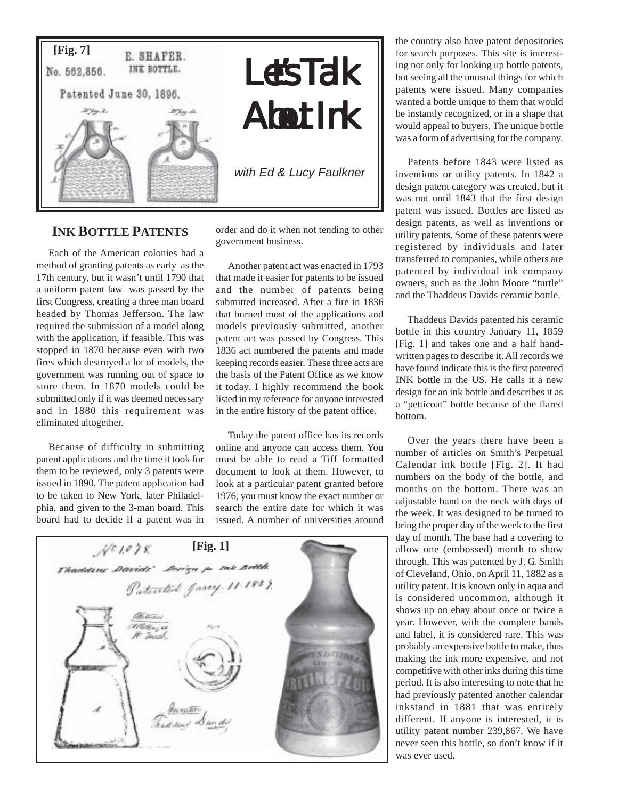

## **INK BOTTLE PATENTS**

Each of the American colonies had a method of granting patents as early as the 17th century, but it wasn't until 1790 that a uniform patent law was passed by the first Congress, creating a three man board headed by Thomas Jefferson. The law required the submission of a model along with the application, if feasible. This was stopped in 1870 because even with two fires which destroyed a lot of models, the government was running out of space to store them. In 1870 models could be submitted only if it was deemed necessary and in 1880 this requirement was eliminated altogether.

Because of difficulty in submitting patent applications and the time it took for them to be reviewed, only 3 patents were issued in 1890. The patent application had to be taken to New York, later Philadelphia, and given to the 3-man board. This board had to decide if a patent was in

order and do it when not tending to other government business.

Another patent act was enacted in 1793 that made it easier for patents to be issued and the number of patents being submitted increased. After a fire in 1836 that burned most of the applications and models previously submitted, another patent act was passed by Congress. This 1836 act numbered the patents and made keeping records easier. These three acts are the basis of the Patent Office as we know it today. I highly recommend the book listed in my reference for anyone interested in the entire history of the patent office.

Today the patent office has its records online and anyone can access them. You must be able to read a Tiff formatted document to look at them. However, to look at a particular patent granted before 1976, you must know the exact number or search the entire date for which it was issued. A number of universities around



the country also have patent depositories for search purposes. This site is interesting not only for looking up bottle patents, but seeing all the unusual things for which patents were issued. Many companies wanted a bottle unique to them that would be instantly recognized, or in a shape that would appeal to buyers. The unique bottle was a form of advertising for the company.

Patents before 1843 were listed as inventions or utility patents. In 1842 a design patent category was created, but it was not until 1843 that the first design patent was issued. Bottles are listed as design patents, as well as inventions or utility patents. Some of these patents were registered by individuals and later transferred to companies, while others are patented by individual ink company owners, such as the John Moore "turtle" and the Thaddeus Davids ceramic bottle.

Thaddeus Davids patented his ceramic bottle in this country January 11, 1859 [Fig. 1] and takes one and a half handwritten pages to describe it. All records we have found indicate this is the first patented INK bottle in the US. He calls it a new design for an ink bottle and describes it as a "petticoat" bottle because of the flared bottom.

Over the years there have been a number of articles on Smith's Perpetual Calendar ink bottle [Fig. 2]. It had numbers on the body of the bottle, and months on the bottom. There was an adjustable band on the neck with days of the week. It was designed to be turned to bring the proper day of the week to the first day of month. The base had a covering to allow one (embossed) month to show through. This was patented by J. G. Smith of Cleveland, Ohio, on April 11, 1882 as a utility patent. It is known only in aqua and is considered uncommon, although it shows up on ebay about once or twice a year. However, with the complete bands and label, it is considered rare. This was probably an expensive bottle to make, thus making the ink more expensive, and not competitive with other inks during this time period. It is also interesting to note that he had previously patented another calendar inkstand in 1881 that was entirely different. If anyone is interested, it is utility patent number 239,867. We have never seen this bottle, so don't know if it was ever used.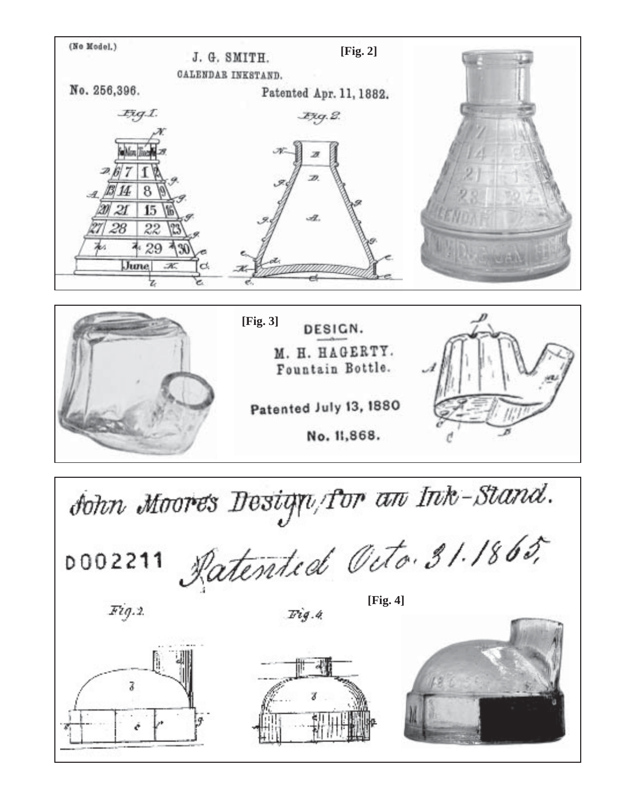

No. 11,868.

Patented July 13, 1880



sohn Moores Design/for an Ink-Stand.

Ratented Octo. 31.1865, D002211

 $Fig.2$ 

 $Fig. 4$ 

 $[Fig. 4]$ 





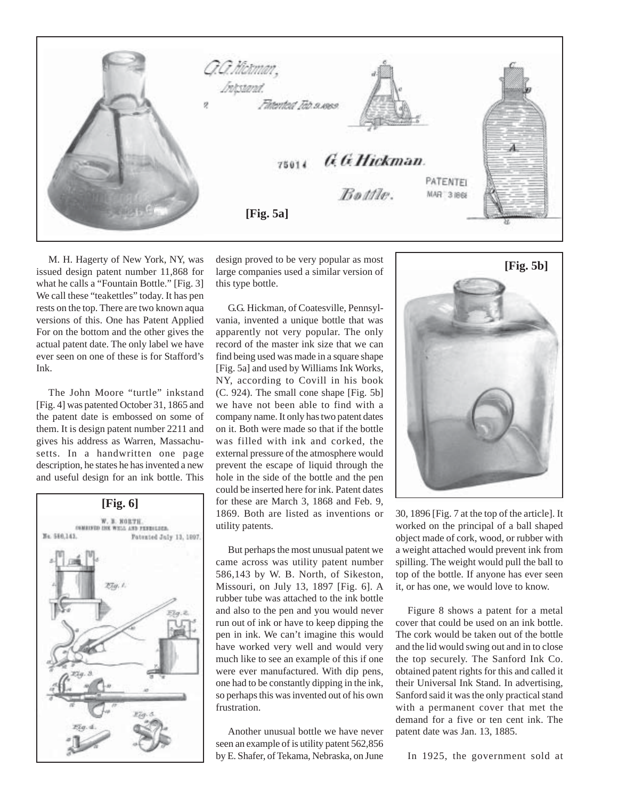

M. H. Hagerty of New York, NY, was issued design patent number 11,868 for what he calls a "Fountain Bottle." [Fig. 3] We call these "teakettles" today. It has pen rests on the top. There are two known aqua versions of this. One has Patent Applied For on the bottom and the other gives the actual patent date. The only label we have ever seen on one of these is for Stafford's Ink.

The John Moore "turtle" inkstand [Fig. 4] was patented October 31, 1865 and the patent date is embossed on some of them. It is design patent number 2211 and gives his address as Warren, Massachusetts. In a handwritten one page description, he states he has invented a new and useful design for an ink bottle. This



design proved to be very popular as most large companies used a similar version of this type bottle.

G.G. Hickman, of Coatesville, Pennsylvania, invented a unique bottle that was apparently not very popular. The only record of the master ink size that we can find being used was made in a square shape [Fig. 5a] and used by Williams Ink Works, NY, according to Covill in his book (C. 924). The small cone shape [Fig. 5b] we have not been able to find with a company name. It only has two patent dates on it. Both were made so that if the bottle was filled with ink and corked, the external pressure of the atmosphere would prevent the escape of liquid through the hole in the side of the bottle and the pen could be inserted here for ink. Patent dates for these are March 3, 1868 and Feb. 9, 1869. Both are listed as inventions or utility patents.

But perhaps the most unusual patent we came across was utility patent number 586,143 by W. B. North, of Sikeston, Missouri, on July 13, 1897 [Fig. 6]. A rubber tube was attached to the ink bottle and also to the pen and you would never run out of ink or have to keep dipping the pen in ink. We can't imagine this would have worked very well and would very much like to see an example of this if one were ever manufactured. With dip pens, one had to be constantly dipping in the ink, so perhaps this was invented out of his own frustration.

Another unusual bottle we have never seen an example of is utility patent 562,856 by E. Shafer, of Tekama, Nebraska, on June



30, 1896 [Fig. 7 at the top of the article]. It worked on the principal of a ball shaped object made of cork, wood, or rubber with a weight attached would prevent ink from spilling. The weight would pull the ball to top of the bottle. If anyone has ever seen it, or has one, we would love to know.

Figure 8 shows a patent for a metal cover that could be used on an ink bottle. The cork would be taken out of the bottle and the lid would swing out and in to close the top securely. The Sanford Ink Co. obtained patent rights for this and called it their Universal Ink Stand. In advertising, Sanford said it was the only practical stand with a permanent cover that met the demand for a five or ten cent ink. The patent date was Jan. 13, 1885.

In 1925, the government sold at